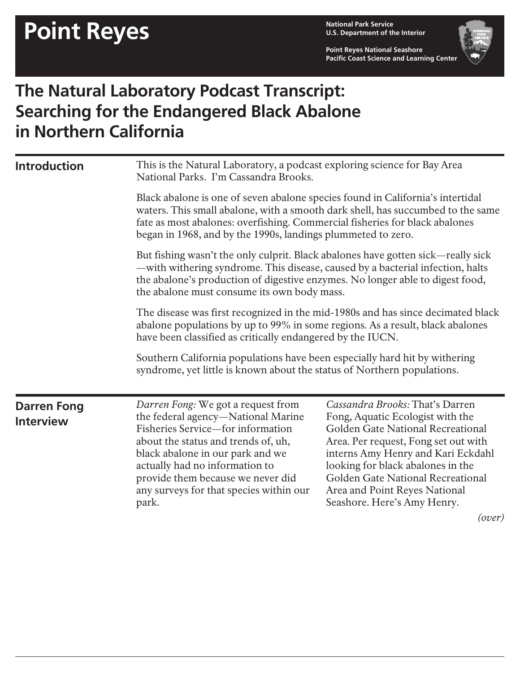**U.S. Department of the Interior**

**Point Reyes National Seashore Pacific Coast Science and Learning Center**



## **The Natural Laboratory Podcast Transcript: Searching for the Endangered Black Abalone in Northern California**

| <b>Introduction</b> | This is the Natural Laboratory, a podcast exploring science for Bay Area<br>National Parks. I'm Cassandra Brooks.<br>Black abalone is one of seven abalone species found in California's intertidal<br>waters. This small abalone, with a smooth dark shell, has succumbed to the same<br>fate as most abalones: overfishing. Commercial fisheries for black abalones<br>began in 1968, and by the 1990s, landings plummeted to zero.<br>But fishing wasn't the only culprit. Black abalones have gotten sick—really sick<br>-with withering syndrome. This disease, caused by a bacterial infection, halts<br>the abalone's production of digestive enzymes. No longer able to digest food,<br>the abalone must consume its own body mass.<br>The disease was first recognized in the mid-1980s and has since decimated black<br>abalone populations by up to 99% in some regions. As a result, black abalones<br>have been classified as critically endangered by the IUCN. |  |                                                                                                                                                       |                                                                                                                                                                                                                                                                                                                     |
|---------------------|-------------------------------------------------------------------------------------------------------------------------------------------------------------------------------------------------------------------------------------------------------------------------------------------------------------------------------------------------------------------------------------------------------------------------------------------------------------------------------------------------------------------------------------------------------------------------------------------------------------------------------------------------------------------------------------------------------------------------------------------------------------------------------------------------------------------------------------------------------------------------------------------------------------------------------------------------------------------------------|--|-------------------------------------------------------------------------------------------------------------------------------------------------------|---------------------------------------------------------------------------------------------------------------------------------------------------------------------------------------------------------------------------------------------------------------------------------------------------------------------|
|                     |                                                                                                                                                                                                                                                                                                                                                                                                                                                                                                                                                                                                                                                                                                                                                                                                                                                                                                                                                                               |  |                                                                                                                                                       |                                                                                                                                                                                                                                                                                                                     |
|                     |                                                                                                                                                                                                                                                                                                                                                                                                                                                                                                                                                                                                                                                                                                                                                                                                                                                                                                                                                                               |  | Southern California populations have been especially hard hit by withering<br>syndrome, yet little is known about the status of Northern populations. |                                                                                                                                                                                                                                                                                                                     |
|                     |                                                                                                                                                                                                                                                                                                                                                                                                                                                                                                                                                                                                                                                                                                                                                                                                                                                                                                                                                                               |  | <b>Darren Fong</b><br><b>Interview</b>                                                                                                                | Darren Fong: We got a request from<br>the federal agency-National Marine<br>Fisheries Service-for information<br>about the status and trends of, uh,<br>black abalone in our park and we<br>actually had no information to<br>provide them because we never did<br>any surveys for that species within our<br>park. |